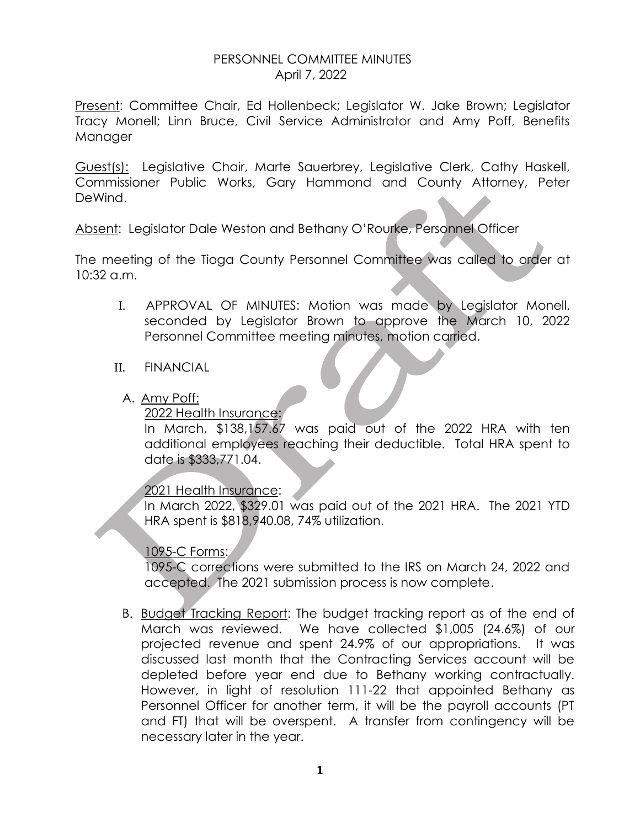## PERSONNEL COMMITTEE MINUTES April 7, 2022

Present: Committee Chair, Ed Hollenbeck; Legislator W. Jake Brown; Legislator Tracy Monell; Linn Bruce, Civil Service Administrator and Amy Poff, Benefits Manager

Guest(s): Legislative Chair, Marte Sauerbrey, Legislative Clerk, Cathy Haskell, Commissioner Public Works, Gary Hammond and County Attorney, Peter DeWind.

Absent: Legislator Dale Weston and Bethany O'Rourke, Personnel Officer

The meeting of the Tioga County Personnel Committee was called to order at 10:32 a.m.

I. APPROVAL OF MINUTES: Motion was made by Legislator Monell, seconded by Legislator Brown to approve the March 10, 2022 Personnel Committee meeting minutes, motion carried.

## II. FINANCIAL

A. Amy Poff:

2022 Health Insurance:

In March, \$138,157.67 was paid out of the 2022 HRA with ten additional employees reaching their deductible. Total HRA spent to date is \$333,771.04.

# 2021 Health Insurance:

In March 2022, \$329.01 was paid out of the 2021 HRA. The 2021 YTD HRA spent is \$818,940.08, 74% utilization.

## 1095-C Forms:

1095-C corrections were submitted to the IRS on March 24, 2022 and accepted. The 2021 submission process is now complete.

B. Budget Tracking Report: The budget tracking report as of the end of March was reviewed. We have collected \$1,005 (24.6%) of our projected revenue and spent 24.9% of our appropriations. It was discussed last month that the Contracting Services account will be depleted before year end due to Bethany working contractually. However, in light of resolution 111-22 that appointed Bethany as Personnel Officer for another term, it will be the payroll accounts (PT and FT) that will be overspent. A transfer from contingency will be necessary later in the year.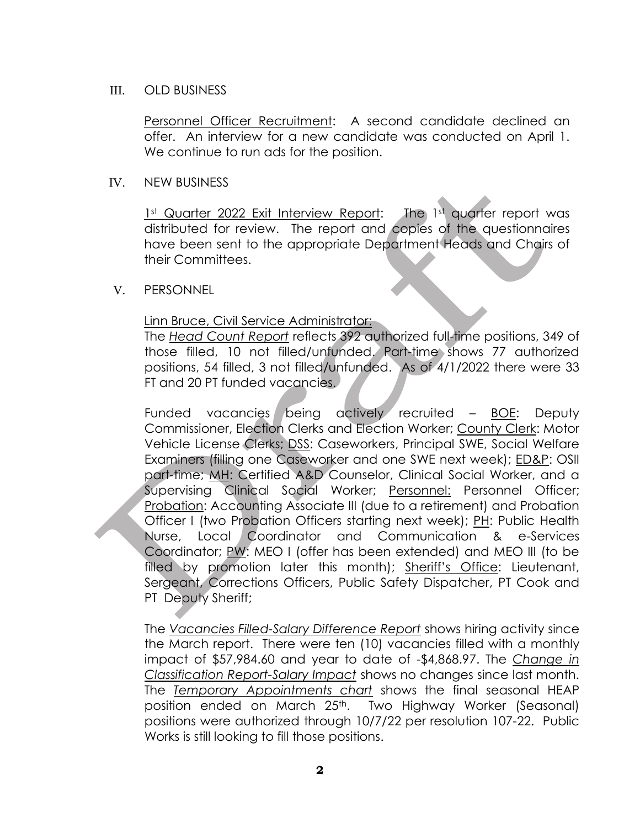#### III. OLD BUSINESS

Personnel Officer Recruitment: A second candidate declined an offer. An interview for a new candidate was conducted on April 1. We continue to run ads for the position.

#### IV. NEW BUSINESS

1st Quarter 2022 Exit Interview Report: The 1st quarter report was distributed for review. The report and copies of the questionnaires have been sent to the appropriate Department Heads and Chairs of their Committees.

## V. PERSONNEL

## Linn Bruce, Civil Service Administrator:

The *Head Count Report* reflects 392 authorized full-time positions, 349 of those filled, 10 not filled/unfunded. Part-time shows 77 authorized positions, 54 filled, 3 not filled/unfunded. As of 4/1/2022 there were 33 FT and 20 PT funded vacancies.

Funded vacancies being actively recruited – BOE: Deputy Commissioner, Election Clerks and Election Worker; County Clerk: Motor Vehicle License Clerks; DSS: Caseworkers, Principal SWE, Social Welfare Examiners (filling one Caseworker and one SWE next week); ED&P: OSII part-time; MH: Certified A&D Counselor, Clinical Social Worker, and a Supervising Clinical Social Worker; Personnel: Personnel Officer; Probation: Accounting Associate III (due to a retirement) and Probation Officer I (two Probation Officers starting next week); PH: Public Health Nurse, Local Coordinator and Communication & e-Services Coordinator; PW: MEO I (offer has been extended) and MEO III (to be filled by promotion later this month); Sheriff's Office: Lieutenant, Sergeant, Corrections Officers, Public Safety Dispatcher, PT Cook and PT Deputy Sheriff;

The *Vacancies Filled-Salary Difference Report* shows hiring activity since the March report. There were ten (10) vacancies filled with a monthly impact of \$57,984.60 and year to date of -\$4,868.97. The *Change in Classification Report-Salary Impact* shows no changes since last month. The *Temporary Appointments chart* shows the final seasonal HEAP position ended on March 25<sup>th</sup>. Two Highway Worker (Seasonal) positions were authorized through 10/7/22 per resolution 107-22. Public Works is still looking to fill those positions.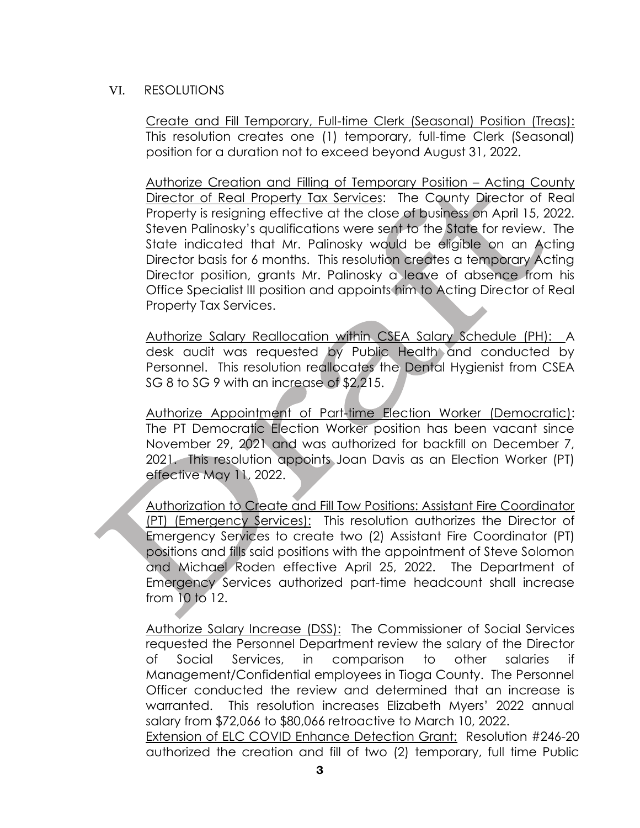## VI. RESOLUTIONS

Create and Fill Temporary, Full-time Clerk (Seasonal) Position (Treas): This resolution creates one (1) temporary, full-time Clerk (Seasonal) position for a duration not to exceed beyond August 31, 2022.

Authorize Creation and Filling of Temporary Position – Acting County Director of Real Property Tax Services: The County Director of Real Property is resigning effective at the close of business on April 15, 2022. Steven Palinosky's qualifications were sent to the State for review. The State indicated that Mr. Palinosky would be eligible on an Acting Director basis for 6 months. This resolution creates a temporary Acting Director position, grants Mr. Palinosky a leave of absence from his Office Specialist III position and appoints him to Acting Director of Real Property Tax Services.

Authorize Salary Reallocation within CSEA Salary Schedule (PH): A desk audit was requested by Public Health and conducted by Personnel. This resolution reallocates the Dental Hygienist from CSEA SG 8 to SG 9 with an increase of \$2,215.

Authorize Appointment of Part-time Election Worker (Democratic): The PT Democratic Election Worker position has been vacant since November 29, 2021 and was authorized for backfill on December 7, 2021. This resolution appoints Joan Davis as an Election Worker (PT) effective May 11, 2022.

Authorization to Create and Fill Tow Positions: Assistant Fire Coordinator (PT) (Emergency Services): This resolution authorizes the Director of Emergency Services to create two (2) Assistant Fire Coordinator (PT) positions and fills said positions with the appointment of Steve Solomon and Michael Roden effective April 25, 2022. The Department of Emergency Services authorized part-time headcount shall increase from 10 to 12.

Authorize Salary Increase (DSS): The Commissioner of Social Services requested the Personnel Department review the salary of the Director of Social Services, in comparison to other salaries if Management/Confidential employees in Tioga County. The Personnel Officer conducted the review and determined that an increase is warranted. This resolution increases Elizabeth Myers' 2022 annual salary from \$72,066 to \$80,066 retroactive to March 10, 2022.

Extension of ELC COVID Enhance Detection Grant: Resolution #246-20 authorized the creation and fill of two (2) temporary, full time Public